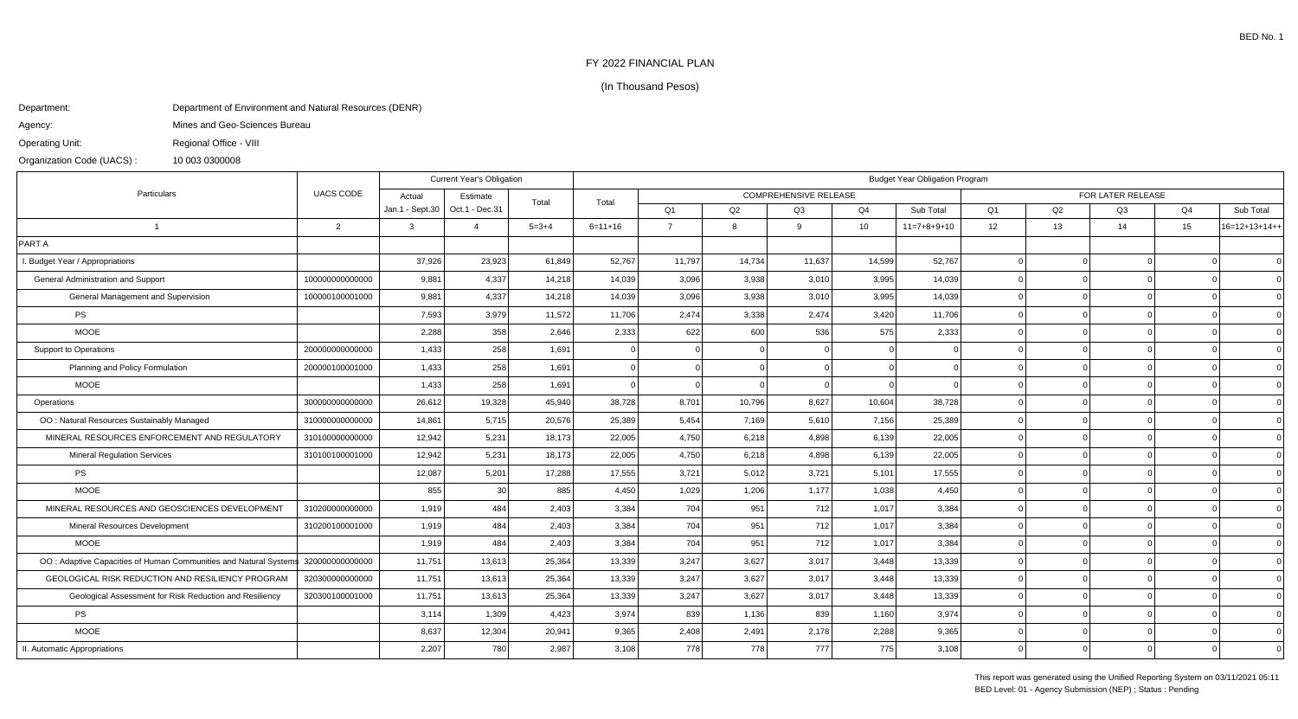## FY 2022 FINANCIAL PLAN

## (In Thousand Pesos)

## Department:Department of Environment and Natural Resources (DENR)

Mines and Geo-Sciences Bureau

Agency:

Operating Unit:Regional Office - VIII

Organization Code (UACS) :10 003 0300008

| Particulars                                                      | <b>UACS CODE</b> | <b>Current Year's Obligation</b> |                |             | <b>Budget Year Obligation Program</b> |                              |              |        |                 |                   |                |          |    |                |                 |
|------------------------------------------------------------------|------------------|----------------------------------|----------------|-------------|---------------------------------------|------------------------------|--------------|--------|-----------------|-------------------|----------------|----------|----|----------------|-----------------|
|                                                                  |                  | Actual                           | Estimate       | Total       | Total                                 | <b>COMPREHENSIVE RELEASE</b> |              |        |                 | FOR LATER RELEASE |                |          |    |                |                 |
|                                                                  |                  | Jan.1 - Sept.30                  | Oct.1 - Dec.31 |             |                                       | Q <sub>1</sub>               | Q2           | Q3     | Q <sub>4</sub>  | Sub Total         | Q <sub>1</sub> | Q2       | Q3 | Q <sub>4</sub> | Sub Total       |
| $\overline{1}$                                                   | $\overline{2}$   | $\mathcal{A}$                    | $\overline{4}$ | $5 = 3 + 4$ | $6 = 11 + 16$                         | $\overline{7}$               | $\mathsf{R}$ | 9      | 10 <sup>1</sup> | $11=7+8+9+10$     | 12             | 13       | 14 | 15             | $16=12+13+14++$ |
| PART A                                                           |                  |                                  |                |             |                                       |                              |              |        |                 |                   |                |          |    |                |                 |
| I. Budget Year / Appropriations                                  |                  | 37,926                           | 23,923         | 61,849      | 52,767                                | 11,797                       | 14,734       | 11,637 | 14,599          | 52,767            |                | $\Omega$ |    |                | $\Omega$        |
| General Administration and Support                               | 100000000000000  | 9,881                            | 4,337          | 14,218      | 14,039                                | 3,096                        | 3,938        | 3,010  | 3,995           | 14,039            |                |          |    |                | $\overline{0}$  |
| General Management and Supervision                               | 100000100001000  | 9,881                            | 4,337          | 14,218      | 14,039                                | 3,096                        | 3,938        | 3,010  | 3,995           | 14,039            |                |          |    |                | $\Omega$        |
| PS                                                               |                  | 7,593                            | 3,979          | 11,572      | 11,706                                | 2,474                        | 3,338        | 2,474  | 3,420           | 11,706            |                |          |    |                | $\overline{0}$  |
| <b>MOOE</b>                                                      |                  | 2,288                            | 358            | 2,646       | 2,333                                 | 622                          | 600          | 536    | 575             | 2,333             |                |          |    |                | $\Omega$        |
| Support to Operations                                            | 200000000000000  | 1,433                            | 258            | 1,691       |                                       |                              |              |        |                 |                   |                |          |    |                | $\Omega$        |
| Planning and Policy Formulation                                  | 200000100001000  | 1,433                            | 258            | 1,691       |                                       | $\Omega$                     |              |        |                 |                   |                |          |    |                | $\Omega$        |
| <b>MOOE</b>                                                      |                  | 1,433                            | 258            | 1,691       | $\Omega$                              | $\Omega$                     |              |        |                 |                   |                |          |    |                | $\Omega$        |
| Operations                                                       | 300000000000000  | 26,612                           | 19,328         | 45,940      | 38,728                                | 8,701                        | 10,796       | 8,627  | 10,604          | 38,728            |                |          |    |                | $\Omega$        |
| OO: Natural Resources Sustainably Managed                        | 310000000000000  | 14,861                           | 5,715          | 20,576      | 25,389                                | 5,454                        | 7,169        | 5,610  | 7,156           | 25,389            |                | $\Omega$ |    |                | $\overline{0}$  |
| MINERAL RESOURCES ENFORCEMENT AND REGULATORY                     | 310100000000000  | 12,942                           | 5,231          | 18,173      | 22,005                                | 4,750                        | 6,218        | 4,898  | 6,139           | 22,005            |                | $\Omega$ |    |                | $\Omega$        |
| <b>Mineral Regulation Services</b>                               | 310100100001000  | 12,942                           | 5,231          | 18,173      | 22,005                                | 4,750                        | 6,218        | 4,898  | 6,139           | 22,005            |                |          |    |                | $\overline{0}$  |
| <b>PS</b>                                                        |                  | 12,087                           | 5,201          | 17,288      | 17,555                                | 3,721                        | 5.012        | 3,721  | 5.101           | 17,555            |                | $\Omega$ |    |                | $\overline{0}$  |
| <b>MOOE</b>                                                      |                  | 855                              | 30             | 885         | 4,450                                 | 1,029                        | 1,206        | 1,177  | 1,038           | 4,450             |                | $\Omega$ |    |                | $\Omega$        |
| MINERAL RESOURCES AND GEOSCIENCES DEVELOPMENT                    | 310200000000000  | 1,919                            | 484            | 2,403       | 3,384                                 | 704                          | 951          | 712    | 1,017           | 3,384             |                |          |    |                | $\Omega$        |
| Mineral Resources Development                                    | 310200100001000  | 1,919                            | 484            | 2.403       | 3,384                                 | 704                          | 951          | 712    | 1,017           | 3,384             |                | $\Omega$ |    |                | $\Omega$        |
| <b>MOOE</b>                                                      |                  | 1,919                            | 484            | 2,403       | 3,384                                 | 704                          | 951          | 712    | 1,017           | 3,384             |                | $\Omega$ |    |                | $\Omega$        |
| OO: Adaptive Capacities of Human Communities and Natural Systems | 320000000000000  | 11,751                           | 13,613         | 25,364      | 13,339                                | 3,247                        | 3,627        | 3,017  | 3,448           | 13,339            |                |          |    |                | $\Omega$        |
| <b>GEOLOGICAL RISK REDUCTION AND RESILIENCY PROGRAM</b>          | 320300000000000  | 11,751                           | 13,613         | 25,364      | 13,339                                | 3,247                        | 3,627        | 3,017  | 3,448           | 13,339            |                |          |    |                | $\Omega$        |
| Geological Assessment for Risk Reduction and Resiliency          | 320300100001000  | 11,751                           | 13,613         | 25,364      | 13,339                                | 3,247                        | 3,627        | 3,017  | 3,448           | 13,339            |                | $\Omega$ |    |                | $\Omega$        |
| PS                                                               |                  | 3,114                            | 1,309          | 4,423       | 3,974                                 | 839                          | 1,136        | 839    | 1.160           | 3,974             |                |          |    |                | $\Omega$        |
| <b>MOOE</b>                                                      |                  | 8,637                            | 12,304         | 20,941      | 9,365                                 | 2,408                        | 2,491        | 2,178  | 2,288           | 9,365             |                |          |    |                | $\Omega$        |
| II. Automatic Appropriations                                     |                  | 2,207                            | 780            | 2,987       | 3,108                                 | 778                          | 778          | 777    | 775             | 3,108             |                |          |    |                | $\Omega$        |

This report was generated using the Unified Reporting System on 03/11/2021 05:11BED Level: 01 - Agency Submission (NEP) ; Status : Pending